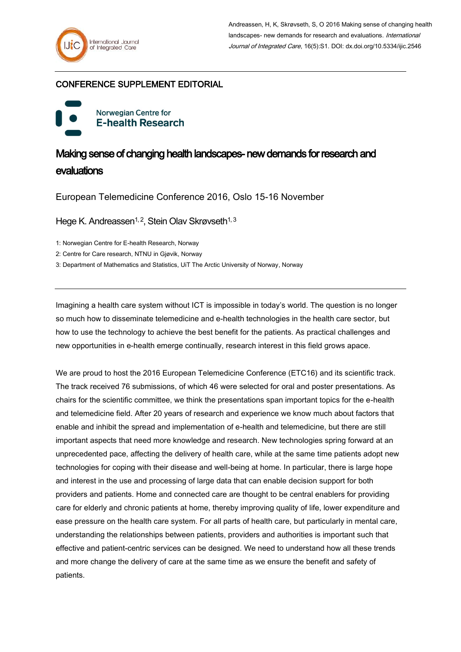## CONFERENCE SUPPLEMENT EDITORIAL

Norwegian Centre for **E-health Research** 

## Making sense of changing health landscapes- new demands for research and evaluations

European Telemedicine Conference 2016, Oslo 15-16 November

Hege K. Andreassen<sup>1, 2</sup>, Stein Olav Skrøvseth<sup>1, 3</sup>

1: Norwegian Centre for E-health Research, Norway

2: Centre for Care research, NTNU in Gjøvik, Norway

3: Department of Mathematics and Statistics, UiT The Arctic University of Norway, Norway

Imagining a health care system without ICT is impossible in today's world. The question is no longer so much how to disseminate telemedicine and e-health technologies in the health care sector, but how to use the technology to achieve the best benefit for the patients. As practical challenges and new opportunities in e-health emerge continually, research interest in this field grows apace.

We are proud to host the 2016 European Telemedicine Conference (ETC16) and its scientific track. The track received 76 submissions, of which 46 were selected for oral and poster presentations. As chairs for the scientific committee, we think the presentations span important topics for the e-health and telemedicine field. After 20 years of research and experience we know much about factors that enable and inhibit the spread and implementation of e-health and telemedicine, but there are still important aspects that need more knowledge and research. New technologies spring forward at an unprecedented pace, affecting the delivery of health care, while at the same time patients adopt new technologies for coping with their disease and well-being at home. In particular, there is large hope and interest in the use and processing of large data that can enable decision support for both providers and patients. Home and connected care are thought to be central enablers for providing care for elderly and chronic patients at home, thereby improving quality of life, lower expenditure and ease pressure on the health care system. For all parts of health care, but particularly in mental care, understanding the relationships between patients, providers and authorities is important such that effective and patient-centric services can be designed. We need to understand how all these trends and more change the delivery of care at the same time as we ensure the benefit and safety of patients.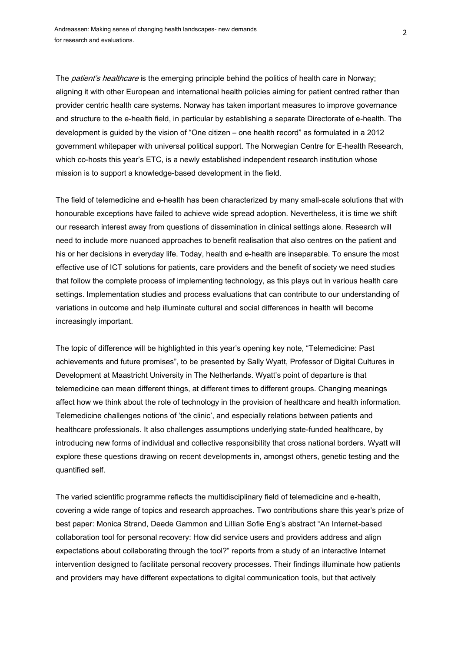The *patient's healthcare* is the emerging principle behind the politics of health care in Norway; aligning it with other European and international health policies aiming for patient centred rather than provider centric health care systems. Norway has taken important measures to improve governance and structure to the e-health field, in particular by establishing a separate Directorate of e-health. The development is guided by the vision of "One citizen – one health record" as formulated in a 2012 government whitepaper with universal political support. The Norwegian Centre for E-health Research, which co-hosts this year's ETC, is a newly established independent research institution whose mission is to support a knowledge-based development in the field.

The field of telemedicine and e-health has been characterized by many small-scale solutions that with honourable exceptions have failed to achieve wide spread adoption. Nevertheless, it is time we shift our research interest away from questions of dissemination in clinical settings alone. Research will need to include more nuanced approaches to benefit realisation that also centres on the patient and his or her decisions in everyday life. Today, health and e-health are inseparable. To ensure the most effective use of ICT solutions for patients, care providers and the benefit of society we need studies that follow the complete process of implementing technology, as this plays out in various health care settings. Implementation studies and process evaluations that can contribute to our understanding of variations in outcome and help illuminate cultural and social differences in health will become increasingly important.

The topic of difference will be highlighted in this year's opening key note, "Telemedicine: Past achievements and future promises", to be presented by Sally Wyatt, Professor of Digital Cultures in Development at Maastricht University in The Netherlands. Wyatt's point of departure is that telemedicine can mean different things, at different times to different groups. Changing meanings affect how we think about the role of technology in the provision of healthcare and health information. Telemedicine challenges notions of 'the clinic', and especially relations between patients and healthcare professionals. It also challenges assumptions underlying state-funded healthcare, by introducing new forms of individual and collective responsibility that cross national borders. Wyatt will explore these questions drawing on recent developments in, amongst others, genetic testing and the quantified self.

The varied scientific programme reflects the multidisciplinary field of telemedicine and e-health, covering a wide range of topics and research approaches. Two contributions share this year's prize of best paper: Monica Strand, Deede Gammon and Lillian Sofie Eng's abstract "An Internet-based collaboration tool for personal recovery: How did service users and providers address and align expectations about collaborating through the tool?" reports from a study of an interactive Internet intervention designed to facilitate personal recovery processes. Their findings illuminate how patients and providers may have different expectations to digital communication tools, but that actively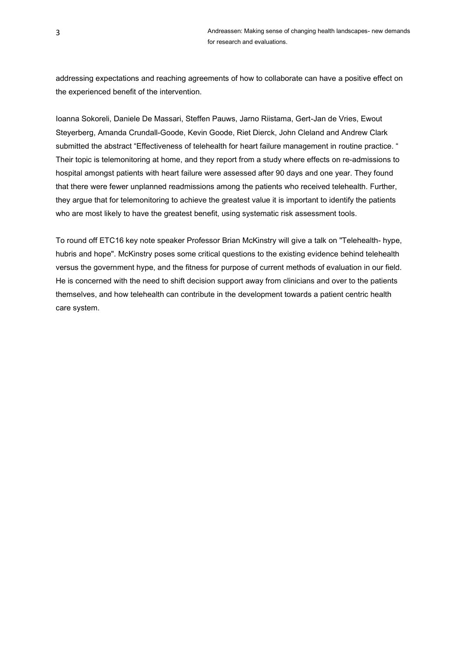addressing expectations and reaching agreements of how to collaborate can have a positive effect on the experienced benefit of the intervention.

Ioanna Sokoreli, Daniele De Massari, Steffen Pauws, Jarno Riistama, Gert-Jan de Vries, Ewout Steyerberg, Amanda Crundall-Goode, Kevin Goode, Riet Dierck, John Cleland and Andrew Clark submitted the abstract "Effectiveness of telehealth for heart failure management in routine practice. " Their topic is telemonitoring at home, and they report from a study where effects on re-admissions to hospital amongst patients with heart failure were assessed after 90 days and one year. They found that there were fewer unplanned readmissions among the patients who received telehealth. Further, they argue that for telemonitoring to achieve the greatest value it is important to identify the patients who are most likely to have the greatest benefit, using systematic risk assessment tools.

To round off ETC16 key note speaker Professor Brian McKinstry will give a talk on "Telehealth- hype, hubris and hope". McKinstry poses some critical questions to the existing evidence behind telehealth versus the government hype, and the fitness for purpose of current methods of evaluation in our field. He is concerned with the need to shift decision support away from clinicians and over to the patients themselves, and how telehealth can contribute in the development towards a patient centric health care system.